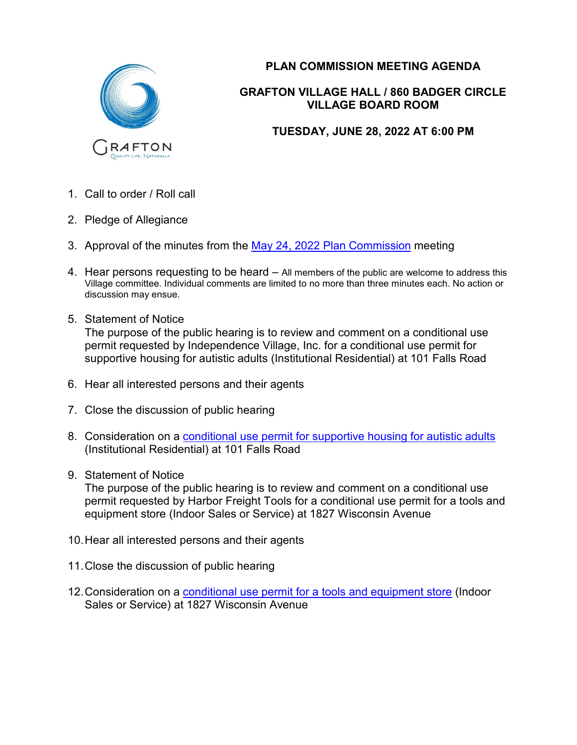

## **PLAN COMMISSION MEETING AGENDA**

## **GRAFTON VILLAGE HALL / 860 BADGER CIRCLE VILLAGE BOARD ROOM**

## **TUESDAY, JUNE 28, 2022 AT 6:00 PM**

- 1. Call to order / Roll call
- 2. Pledge of Allegiance
- 3. Approval of the minutes from the May 24, 2022 [Plan Commission](https://www.village.grafton.wi.us/DocumentCenter/View/21592/5-24-2022-PC-Minutes-) meeting
- 4. Hear persons requesting to be heard All members of the public are welcome to address this Village committee. Individual comments are limited to no more than three minutes each. No action or discussion may ensue.
- 5. Statement of Notice The purpose of the public hearing is to review and comment on a conditional use permit requested by Independence Village, Inc. for a conditional use permit for supportive housing for autistic adults (Institutional Residential) at 101 Falls Road
- 6. Hear all interested persons and their agents
- 7. Close the discussion of public hearing
- 8. Consideration on a [conditional use permit for supportive housing for autistic adults](https://www.village.grafton.wi.us/DocumentCenter/View/21588/IFC-Independence-Village-Supportive-Housing-CUP) (Institutional Residential) at 101 Falls Road
- 9. Statement of Notice

The purpose of the public hearing is to review and comment on a conditional use permit requested by Harbor Freight Tools for a conditional use permit for a tools and equipment store (Indoor Sales or Service) at 1827 Wisconsin Avenue

- 10.Hear all interested persons and their agents
- 11.Close the discussion of public hearing
- 12.Consideration on a [conditional use permit for a tools and equipment store](https://www.village.grafton.wi.us/DocumentCenter/View/21586/IFC--Harbor-Freight-Tools-CUP) (Indoor Sales or Service) at 1827 Wisconsin Avenue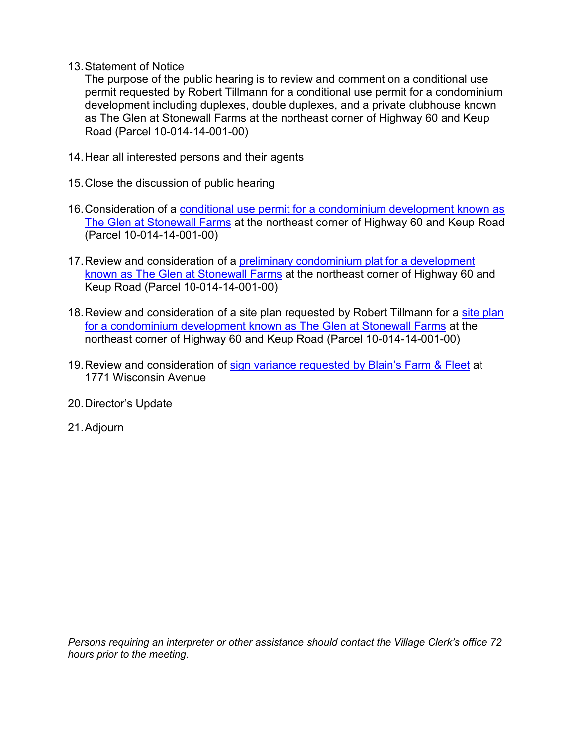13.Statement of Notice

The purpose of the public hearing is to review and comment on a conditional use permit requested by Robert Tillmann for a conditional use permit for a condominium development including duplexes, double duplexes, and a private clubhouse known as The Glen at Stonewall Farms at the northeast corner of Highway 60 and Keup Road (Parcel 10-014-14-001-00)

- 14.Hear all interested persons and their agents
- 15.Close the discussion of public hearing
- 16.Consideration of a [conditional use permit for a condominium development known as](https://www.village.grafton.wi.us/DocumentCenter/View/21590/IFC-The-Glen-at-Stonewall-Farms-CUP)  [The Glen at Stonewall Farms](https://www.village.grafton.wi.us/DocumentCenter/View/21590/IFC-The-Glen-at-Stonewall-Farms-CUP) at the northeast corner of Highway 60 and Keup Road (Parcel 10-014-14-001-00)
- 17.Review and consideration of a [preliminary condominium](https://www.village.grafton.wi.us/DocumentCenter/View/21591/IFC-The-Glen-at-Stonewall-Farms-Condo-Preliminary-Plat) plat for a development [known as The Glen at Stonewall Farms](https://www.village.grafton.wi.us/DocumentCenter/View/21591/IFC-The-Glen-at-Stonewall-Farms-Condo-Preliminary-Plat) at the northeast corner of Highway 60 and Keup Road (Parcel 10-014-14-001-00)
- 18. Review and consideration of a [site plan](https://www.village.grafton.wi.us/DocumentCenter/View/21589/IFC-The-Glen-at-Stonewall-Farms-Condo-Site-Plan) requested by Robert Tillmann for a site plan [for a condominium development known as The Glen at Stonewall Farms](https://www.village.grafton.wi.us/DocumentCenter/View/21589/IFC-The-Glen-at-Stonewall-Farms-Condo-Site-Plan) at the northeast corner of Highway 60 and Keup Road (Parcel 10-014-14-001-00)
- 19.Review and consideration of sign variance [requested by Blain's Farm & Fleet](https://www.village.grafton.wi.us/DocumentCenter/View/21587/IFC-Blains-Farm-and-Fleet-Sign-Variance) at 1771 Wisconsin Avenue
- 20.Director's Update
- 21.Adjourn

*Persons requiring an interpreter or other assistance should contact the Village Clerk's office 72 hours prior to the meeting.*